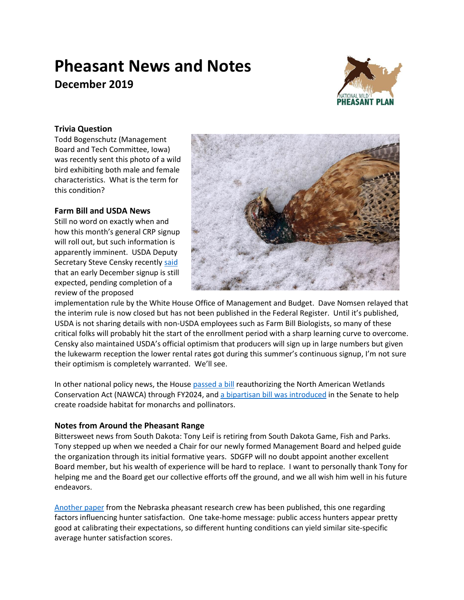# **Pheasant News and Notes December 2019**



## **Trivia Question**

Todd Bogenschutz (Management Board and Tech Committee, Iowa) was recently sent this photo of a wild bird exhibiting both male and female characteristics. What is the term for this condition?

## **Farm Bill and USDA News**

Still no word on exactly when and how this month's general CRP signup will roll out, but such information is apparently imminent. USDA Deputy Secretary Steve Censky recentl[y said](https://www.dtnpf.com/agriculture/web/ag/blogs/ag-policy-blog/blog-post/2019/11/22/ag-needs-sustainable-intensification) that an early December signup is still expected, pending completion of a review of the proposed



implementation rule by the White House Office of Management and Budget. Dave Nomsen relayed that the interim rule is now closed but has not been published in the Federal Register. Until it's published, USDA is not sharing details with non-USDA employees such as Farm Bill Biologists, so many of these critical folks will probably hit the start of the enrollment period with a sharp learning curve to overcome. Censky also maintained USDA's official optimism that producers will sign up in large numbers but given the lukewarm reception the lower rental rates got during this summer's continuous signup, I'm not sure their optimism is completely warranted. We'll see.

In other national policy news, the Hous[e passed a bill](https://pheasantsforever.org/Newsroom/2019-November/House-of-Representatives-Passes-H-R-925,-Reauthorizing-the-North-American-Wetlands-Conservation-Act.aspx) reauthorizing the North American Wetlands Conservation Act (NAWCA) through FY2024, and [a bipartisan bill was introduced](https://www.merkley.senate.gov/news/press-releases/merkley-alexander-carper-rounds-introduce-bipartisan-legislation-to-create-monarch-and-pollinator-highways-2019) in the Senate to help create roadside habitat for monarchs and pollinators.

## **Notes from Around the Pheasant Range**

Bittersweet news from South Dakota: Tony Leif is retiring from South Dakota Game, Fish and Parks. Tony stepped up when we needed a Chair for our newly formed Management Board and helped guide the organization through its initial formative years. SDGFP will no doubt appoint another excellent Board member, but his wealth of experience will be hard to replace. I want to personally thank Tony for helping me and the Board get our collective efforts off the ground, and we all wish him well in his future endeavors.

[Another paper](https://doi.org/10.1002/jwmg.21785) from the Nebraska pheasant research crew has been published, this one regarding factors influencing hunter satisfaction. One take-home message: public access hunters appear pretty good at calibrating their expectations, so different hunting conditions can yield similar site-specific average hunter satisfaction scores.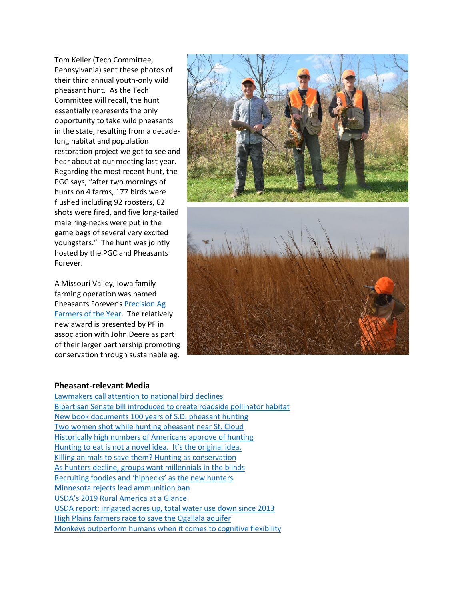Tom Keller (Tech Committee, Pennsylvania) sent these photos of their third annual youth-only wild pheasant hunt. As the Tech Committee will recall, the hunt essentially represents the only opportunity to take wild pheasants in the state, resulting from a decadelong habitat and population restoration project we got to see and hear about at our meeting last year. Regarding the most recent hunt, the PGC says, "after two mornings of hunts on 4 farms, 177 birds were flushed including 92 roosters, 62 shots were fired, and five long-tailed male ring-necks were put in the game bags of several very excited youngsters." The hunt was jointly hosted by the PGC and Pheasants Forever.

A Missouri Valley, Iowa family farming operation was named Pheasants Forever's [Precision Ag](https://www.youtube.com/watch?v=xwencc6XcEQ&feature=youtu.be)  [Farmers of the Year.](https://www.youtube.com/watch?v=xwencc6XcEQ&feature=youtu.be) The relatively new award is presented by PF in association with John Deere as part of their larger partnership promoting conservation through sustainable ag.



#### **Pheasant-relevant Media**

[Lawmakers call attention to national bird declines](https://www.usatoday.com/story/opinion/2019/11/21/united-states-bird-population-declining-how-we-can-save-column/4228247002/) [Bipartisan Senate bill introduced](https://nam02.safelinks.protection.outlook.com/?url=https%3A%2F%2Fwww.merkley.senate.gov%2Fnews%2Fpress-releases%2Fmerkley-alexander-carper-rounds-introduce-bipartisan-legislation-to-create-monarch-and-pollinator-highways-2019&data=02%7C01%7Cstaylor%40pheasantsforever.org%7Cf51d1ded0b47449cc87a08d771f547b9%7Caa7f2878315845b4bbebd7b7b3fe4ae3%7C1%7C0%7C637103170598962504&sdata=pVItzER6agqhr3GQmrR74NxoJX%2BQH039K9kXPR6srr8%3D&reserved=0) to create roadside pollinator habitat [New book documents 100 years of S.D. pheasant hunting](https://www.capjournal.com/news/new-book-documents-years-of-s-d-pheasant-hunting/article_178586d4-00df-11ea-ae8c-136178eb953c.html) [Two women shot while hunting pheasant near St. Cloud](https://bringmethenews.com/minnesota-news/two-women-shot-while-hunting-pheasant-near-st-cloud) [Historically high numbers of Americans approve of hunting](https://www.qdma.com/historically-high-numbers-of-americans-approve-of-hunting/?emci=8036d204-4902-ea11-828b-2818784d6d68&emdi=c8c53b4d-7702-ea11-828b-2818784d6d68&ceid=1730541) [Hunting to eat is not a novel idea. It's the original idea.](https://www.eater.com/2019/11/21/20947318/hunting-season-deer-game-meat-cooking?fbclid=IwAR1qRPQYj-jKRv5rJNMcrcwVnx11fSEUlX8vgBHvWOuJ5xfUX7D8ehtf40A) [Killing animals to save them? Hunting as conservation](https://www.nationalreview.com/2019/11/hunting-as-conservation-sportsmen-incentives-to-protect-endangered-species-habitats/) As hunters decline, groups [want millennials in the blinds](https://www.usnews.com/news/best-states/tennessee/articles/2019-11-10/as-hunters-decline-group-want-millennials-in-the-blinds) [Recruiting foodies and 'hipnecks' as the new](https://www.pewtrusts.org/en/research-and-analysis/blogs/stateline/2019/11/07/recruiting-foodies-and-hipnecks-as-the-new-hunters?fbclid=IwAR0ULfSiBAGHW36RzlPjFyU6dDNdDArEoCk34xohLs-40aK8CmalPpJUGT0) hunters [Minnesota rejects lead ammunition ban](https://wildlife.org/minnesota-rejects-lead-ammunition-ban/) USDA's [2019 Rural America at a Glance](https://www.ers.usda.gov/webdocs/publications/95341/eib-212.pdf?v=5832) USDA report: irrigated acres up, [total water use down since 2013](https://www.nass.usda.gov/Publications/AgCensus/2017/Online_Resources/Farm_and_Ranch_Irrigation_Survey/index.php) [High Plains farmers race to save the Ogallala aquifer](https://nam02.safelinks.protection.outlook.com/?url=https%3A%2F%2Fcivileats.com%2F2019%2F11%2F18%2Fhigh-plains-farmers-race-to-save-the-ogallala-aquifer%2F&data=02%7C01%7Cstaylor%40pheasantsforever.org%7Cf51d1ded0b47449cc87a08d771f547b9%7Caa7f2878315845b4bbebd7b7b3fe4ae3%7C1%7C0%7C637103170598962504&sdata=u3KoWKAIQ0OiAS6LIJkdo2goWXnI5AoZV1uO9KyBg1A%3D&reserved=0) [Monkeys outperform humans when it comes to cognitive flexibility](https://www.sciencedaily.com/releases/2019/10/191015115356.htm)